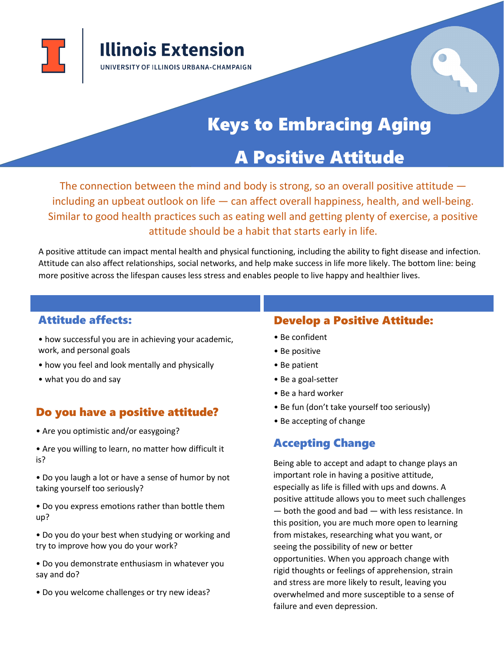

body is strong, so an overall

# **Keys to Embracing Aging**

Positive Attitude

The connection between the mind and

## A Positive Attitude

The connection between the mind and body is strong, so an overall positive attitude  $$ including an upbeat outlook on life — can affect overall happiness, health, and well-being. Similar to good health practices such as eating well and getting plenty of exercise, a positive attitude should be a habit that starts early in life.

A positive attitude can impact mental health and physical functioning, including the ability to fight disease and infection. Attitude can also affect relationships, social networks, and help make success in life more likely. The bottom line: being more positive across the lifespan causes less stress and enables people to live happy and healthier lives.

#### Attitude affects:

- how successful you are in achieving your academic, work, and personal goals
- how you feel and look mentally and physically
- what you do and say

#### Do you have a positive attitude?

- Are you optimistic and/or easygoing?
- Are you willing to learn, no matter how difficult it is?
- Do you laugh a lot or have a sense of humor by not taking yourself too seriously?
- Do you express emotions rather than bottle them up?
- Do you do your best when studying or working and try to improve how you do your work?
- Do you demonstrate enthusiasm in whatever you say and do?
- Do you welcome challenges or try new ideas?

#### Develop a Positive Attitude:

- Be confident
- Be positive
- Be patient
- Be a goal-setter
- Be a hard worker
- Be fun (don't take yourself too seriously)
- Be accepting of change

### Accepting Change

Being able to accept and adapt to change plays an important role in having a positive attitude, especially as life is filled with ups and downs. A positive attitude allows you to meet such challenges — both the good and bad — with less resistance. In this position, you are much more open to learning from mistakes, researching what you want, or seeing the possibility of new or better opportunities. When you approach change with rigid thoughts or feelings of apprehension, strain and stress are more likely to result, leaving you overwhelmed and more susceptible to a sense of failure and even depression.